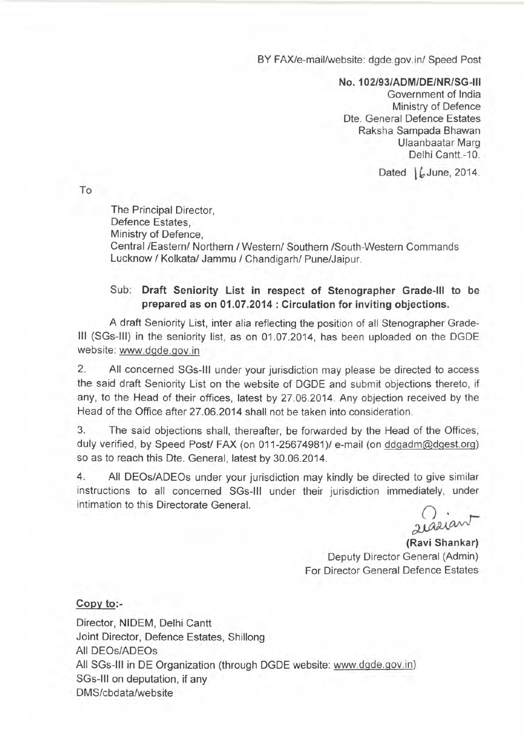BY FAX/e-mail/website: dgde.gov.in/ Speed Post

No.102/93/ADM/DE/NR/SG-1II

Government of India Ministry of Defence Dte. General Defence Estates Raksha Sampada Bhawan Ulaanbaatar Marg Delhi Cantt.-10.

Dated  $\int$  June, 2014.

To

The Principal Director, Defence Estates, Ministry of Defence, Central */Easternl* Northern *I Westernl* Southern ISouth-Western Commands Lucknow / Kolkatal Jammu *I* Chandigarh/ Pune/Jaipur.

## Sub: Draft Seniority List in respect of Stenographer Grade-III to be prepared as on 01.07.2014 : Circulation for inviting objections.

A draft Seniority List, inter alia reflecting the position of all Stenographer Grade-III (SGs-lIl) in the seniority list, as on 01.07.2014, has been uploaded on the DGDE website: www.dgde.gov.in

2. All concerned SGs-11I under your jurisdiction may please be directed to access the said draft Seniority List on the website of DGDE and submit objections thereto, if any, to the Head of their offices, latest by 27.06.2014. Any objection received by the Head of the Office after 27.06.2014 shall not be taken into consideration.

3. The said objections shall, thereafter, be forwarded by the Head of the Offices, duly verified, by Speed Post/ FAX (on 011-25674981)/ e-mail (on ddgadm@dgest.org) so as to reach this Dte. General, latest by 30.06.2014.

4. All DEOs/ADEOs under your jurisdiction may kindly be directed to give similar instructions to all concerned SGs-1I1 under their jurisdiction immediately, under intimation to this Directorate General.

2 iasian

(Ravi Shankar) Deputy Director General (Admin) For Director General Defence Estates

## Copy to:-

Director, NIDEM, Delhi Cantt Joint Director, Defence Estates, Shillong All DEOs/ADEOs All SGs-III in DE Organization (through DGDE website: www.dgde.gov.in) SGs-III on deputation, if any DMS/cbdata/website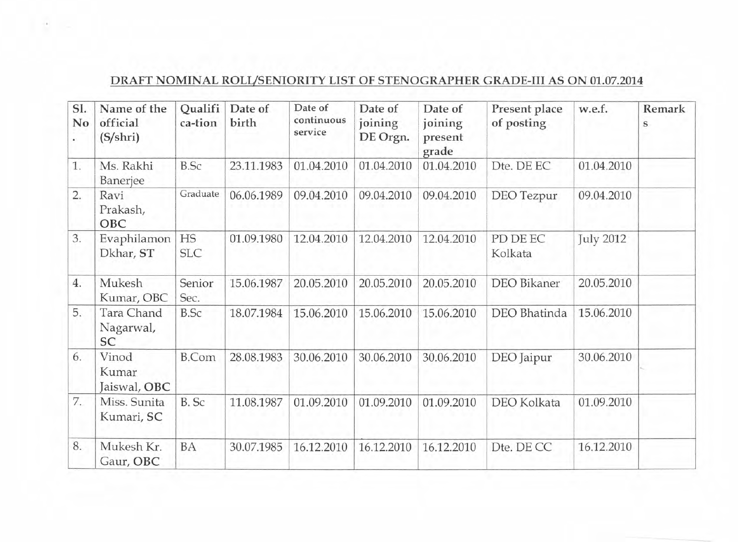## DRAFT NOMINAL ROLUSENIORITY LIST OF STENOGRAPHER GRADE-III AS ON 01.07.2014

| SI.<br>No | Name of the<br>official<br>$(S/\shri)$ | Qualifi<br>ca-tion | Date of<br>birth | Date of<br>continuous<br>service | Date of<br>joining<br>DE Orgn. | Date of<br>joining<br>present<br>grade | Present place<br>of posting | w.e.f.           | Remark<br>S |
|-----------|----------------------------------------|--------------------|------------------|----------------------------------|--------------------------------|----------------------------------------|-----------------------------|------------------|-------------|
| 1.        | Ms. Rakhi<br>Banerjee                  | <b>B.Sc</b>        | 23.11.1983       | 01.04.2010                       | 01.04.2010                     | 01.04.2010                             | Dte. DE EC                  | 01.04.2010       |             |
| 2.        | Ravi<br>Prakash,<br>OBC                | Graduate           | 06.06.1989       | 09.04.2010                       | 09.04.2010                     | 09.04.2010                             | <b>DEO</b> Tezpur           | 09.04.2010       |             |
| 3.        | Evaphilamon<br>Dkhar, ST               | HS<br><b>SLC</b>   | 01.09.1980       | 12.04.2010                       | 12.04.2010                     | 12.04.2010                             | PD DE EC<br>Kolkata         | <b>July 2012</b> |             |
| 4.        | Mukesh<br>Kumar, OBC                   | Senior<br>Sec.     | 15.06.1987       | 20.05.2010                       | 20.05.2010                     | 20.05.2010                             | DEO Bikaner                 | 20.05.2010       |             |
| 5.        | Tara Chand<br>Nagarwal,<br>SC          | <b>B.Sc</b>        | 18.07.1984       | 15.06.2010                       | 15.06.2010                     | 15.06.2010                             | DEO Bhatinda                | 15.06.2010       |             |
| 6.        | Vinod<br>Kumar<br>Jaiswal, OBC         | <b>B.Com</b>       | 28.08.1983       | 30.06.2010                       | 30.06.2010                     | 30.06.2010                             | DEO Jaipur                  | 30.06.2010       |             |
| 7.        | Miss. Sunita<br>Kumari, SC             | B. Sc              | 11.08.1987       | 01.09.2010                       | 01.09.2010                     | 01.09.2010                             | <b>DEO</b> Kolkata          | 01.09.2010       |             |
| 8.        | Mukesh Kr.<br>Gaur, OBC                | BA                 | 30.07.1985       | 16.12.2010                       | 16.12.2010                     | 16.12.2010                             | Dte. DE CC                  | 16.12.2010       |             |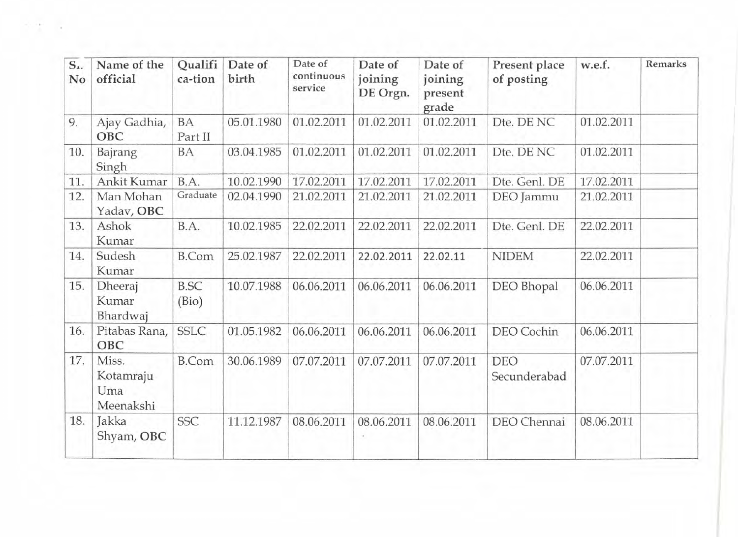| $S_{1}$<br>No | Name of the<br>official                | Qualifi<br>ca-tion   | Date of<br>birth | Date of<br>continuous<br>service | Date of<br>joining<br>DE Orgn. | Date of<br>joining<br>present<br>grade | Present place<br>of posting | w.e.f.     | Remarks |
|---------------|----------------------------------------|----------------------|------------------|----------------------------------|--------------------------------|----------------------------------------|-----------------------------|------------|---------|
| 9.            | Ajay Gadhia,<br>OBC                    | <b>BA</b><br>Part II | 05.01.1980       | 01.02.2011                       | 01.02.2011                     | 01.02.2011                             | Dte. DE NC                  | 01.02.2011 |         |
| 10.           | Bajrang<br>Singh                       | <b>BA</b>            | 03.04.1985       | 01.02.2011                       | 01.02.2011                     | 01.02.2011                             | Dte. DE NC                  | 01.02.2011 |         |
| 11.           | Ankit Kumar                            | B.A.                 | 10.02.1990       | 17.02.2011                       | 17.02.2011                     | 17.02.2011                             | Dte. Genl. DE               | 17.02.2011 |         |
| 12.           | Man Mohan<br>Yadav, OBC                | Graduate             | 02.04.1990       | 21.02.2011                       | 21.02.2011                     | 21.02.2011                             | DEO Jammu                   | 21.02.2011 |         |
| 13.           | Ashok<br>Kumar                         | B.A.                 | 10.02.1985       | 22.02.2011                       | 22.02.2011                     | 22.02.2011                             | Dte. Genl. DE               | 22.02.2011 |         |
| 14.           | Sudesh<br>Kumar                        | <b>B.Com</b>         | 25.02.1987       | 22.02.2011                       | 22.02.2011                     | 22.02.11                               | <b>NIDEM</b>                | 22.02.2011 |         |
| 15.           | Dheeraj<br>Kumar<br>Bhardwaj           | <b>B.SC</b><br>(Bio) | 10.07.1988       | 06.06.2011                       | 06.06.2011                     | 06.06.2011                             | DEO Bhopal                  | 06.06.2011 |         |
| 16.           | Pitabas Rana,<br>OBC                   | <b>SSLC</b>          | 01.05.1982       | 06.06.2011                       | 06.06.2011                     | 06.06.2011                             | DEO Cochin                  | 06.06.2011 |         |
| 17.           | Miss.<br>Kotamraju<br>Uma<br>Meenakshi | <b>B.Com</b>         | 30.06.1989       | 07.07.2011                       | 07.07.2011                     | 07.07.2011                             | <b>DEO</b><br>Secunderabad  | 07.07.2011 |         |
| 18.           | Jakka<br>Shyam, OBC                    | <b>SSC</b>           | 11.12.1987       | 08.06.2011                       | 08.06.2011                     | 08.06.2011                             | DEO Chennai                 | 08.06.2011 |         |

The Corp.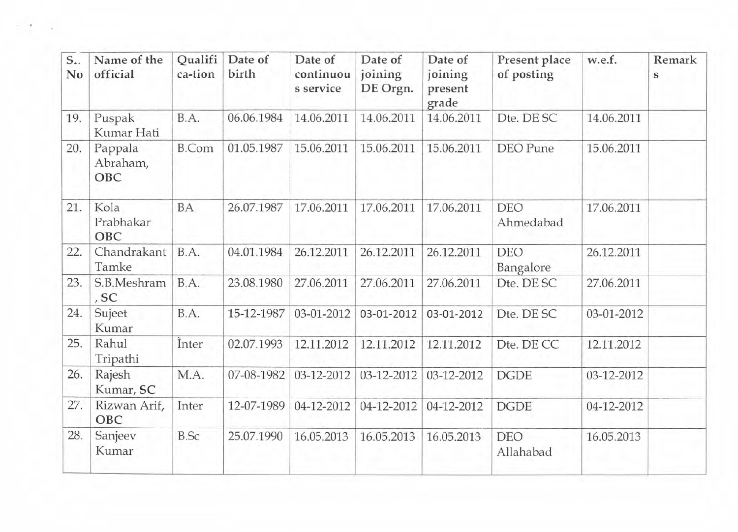| $S_{\cdot\cdot}$<br>No | Name of the<br>official    | Qualifi<br>ca-tion | Date of<br>birth | Date of<br>continuou<br>s service | Date of<br>joining<br>DE Orgn. | Date of<br>joining<br>present<br>grade | Present place<br>of posting | w.e.f.     | Remark<br>s |
|------------------------|----------------------------|--------------------|------------------|-----------------------------------|--------------------------------|----------------------------------------|-----------------------------|------------|-------------|
| 19.                    | Puspak<br>Kumar Hati       | B.A.               | 06.06.1984       | 14.06.2011                        | 14.06.2011                     | 14.06.2011                             | Dte. DE SC                  | 14.06.2011 |             |
| 20.                    | Pappala<br>Abraham,<br>OBC | <b>B.Com</b>       | 01.05.1987       | 15.06.2011                        | 15.06.2011                     | 15.06.2011                             | <b>DEO</b> Pune             | 15.06.2011 |             |
| 21.                    | Kola<br>Prabhakar<br>OBC   | BA                 | 26.07.1987       | 17.06.2011                        | 17.06.2011                     | 17.06.2011                             | <b>DEO</b><br>Ahmedabad     | 17.06.2011 |             |
| 22.                    | Chandrakant<br>Tamke       | B.A.               | 04.01.1984       | 26.12.2011                        | 26.12.2011                     | 26.12.2011                             | <b>DEO</b><br>Bangalore     | 26.12.2011 |             |
| 23.                    | S.B.Meshram<br>, SC        | B.A.               | 23.08.1980       | 27.06.2011                        | 27.06.2011                     | 27.06.2011                             | Dte. DE SC                  | 27.06.2011 |             |
| 24.                    | Sujeet<br>Kumar            | B.A.               | 15-12-1987       | 03-01-2012                        | 03-01-2012                     | 03-01-2012                             | Dte. DE SC                  | 03-01-2012 |             |
| 25.                    | Rahul<br>Tripathi          | Inter              | 02.07.1993       | 12.11.2012                        | 12.11.2012                     | 12.11.2012                             | Dte. DE CC                  | 12.11.2012 |             |
| 26.                    | Rajesh<br>Kumar, SC        | M.A.               | 07-08-1982       | 03-12-2012                        | 03-12-2012                     | 03-12-2012                             | <b>DGDE</b>                 | 03-12-2012 |             |
| 27.                    | Rizwan Arif,<br><b>OBC</b> | Inter              | 12-07-1989       | 04-12-2012                        | 04-12-2012                     | 04-12-2012                             | <b>DGDE</b>                 | 04-12-2012 |             |
| 28.                    | Sanjeev<br>Kumar           | <b>B.Sc</b>        | 25.07.1990       | 16.05.2013                        | 16.05.2013                     | 16.05.2013                             | <b>DEO</b><br>Allahabad     | 16.05.2013 |             |

×  $\sim 10^{-1}$